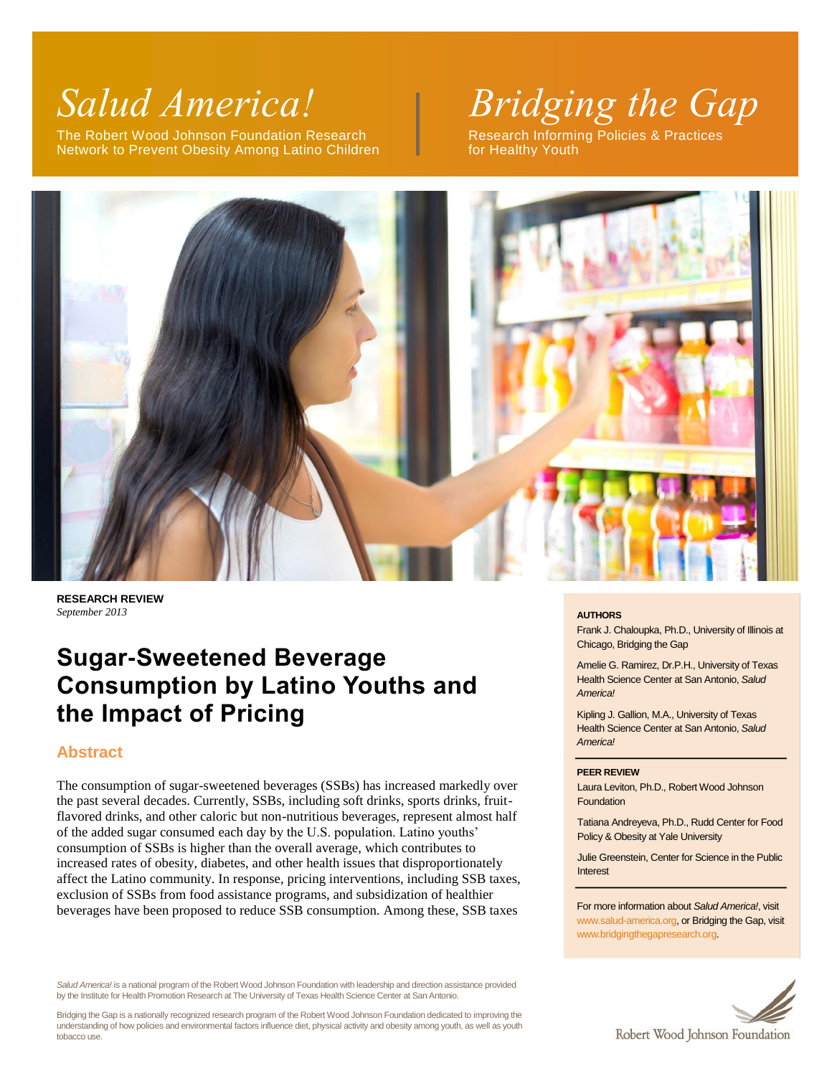The Robert Wood Johnson Foundation Research **Research Research Informing Policies & Practices**<br>Network to Prevent Obesity Among Latino Children **Research Informing Policies & Practices** Network to Prevent Obesity Among Latino Children

# *Salud America! Bridging the Gap*



**RESEARCH REVIEW** *September 2013*

## **Sugar-Sweetened Beverage Consumption by Latino Youths and the Impact of Pricing**

### **Abstract**

The consumption of sugar-sweetened beverages (SSBs) has increased markedly over the past several decades. Currently, SSBs, including soft drinks, sports drinks, fruitflavored drinks, and other caloric but non-nutritious beverages, represent almost half of the added sugar consumed each day by the U.S. population. Latino youths' consumption of SSBs is higher than the overall average, which contributes to increased rates of obesity, diabetes, and other health issues that disproportionately affect the Latino community. In response, pricing interventions, including SSB taxes, exclusion of SSBs from food assistance programs, and subsidization of healthier beverages have been proposed to reduce SSB consumption. Among these, SSB taxes

*Salud America!* is a national program of the Robert Wood Johnson Foundation with leadership and direction assistance provided by the Institute for Health Promotion Research at The University of Texas Health Science Center at San Antonio.

Bridging the Gap is a nationally recognized research program of the Robert Wood Johnson Foundation dedicated to improving the understanding of how policies and environmental factors influence diet, physical activity and obesity among youth, as well as youth tobacco use.

#### **AUTHORS**

Frank J. Chaloupka, Ph.D., University of Illinois at Chicago, Bridging the Gap

Amelie G. Ramirez, Dr.P.H., University of Texas Health Science Center at San Antonio, *Salud America!*

Kipling J. Gallion, M.A., University of Texas Health Science Center at San Antonio, *Salud America!*

#### **PEER REVIEW**

Laura Leviton, Ph.D., Robert Wood Johnson Foundation

Tatiana Andreyeva, Ph.D., Rudd Center for Food Policy & Obesity at Yale University

Julie Greenstein, Center for Science in the Public Interest

For more information about *Salud America!*, visit [www.salud-america.org,](http://www.salud-america.org/) or Bridging the Gap, visit [www.bridgingthegapresearch.org.](http://www.bridgingthegapresearch.org/) 

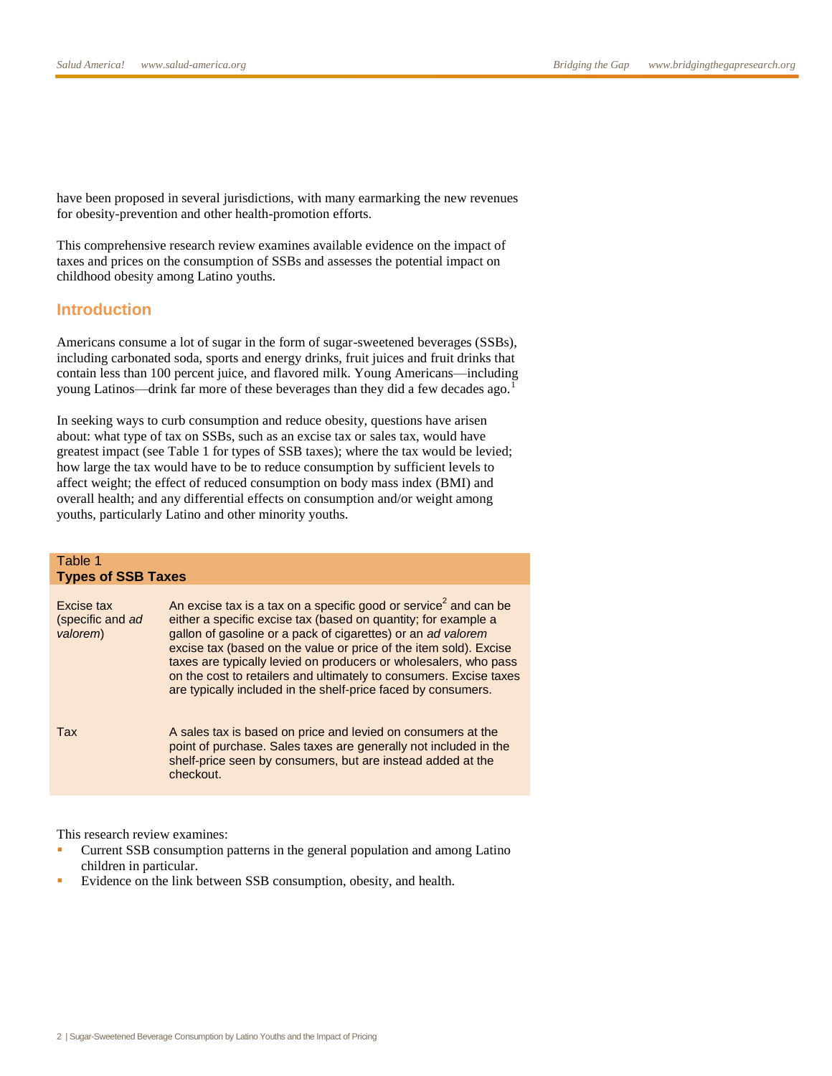have been proposed in several jurisdictions, with many earmarking the new revenues for obesity-prevention and other health-promotion efforts.

This comprehensive research review examines available evidence on the impact of taxes and prices on the consumption of SSBs and assesses the potential impact on childhood obesity among Latino youths.

#### **Introduction**

Americans consume a lot of sugar in the form of sugar-sweetened beverages (SSBs), including carbonated soda, sports and energy drinks, fruit juices and fruit drinks that contain less than 100 percent juice, and flavored milk. Young Americans—including young Latinos—drink far more of these beverages than they did a few decades ago.<sup>1</sup>

In seeking ways to curb consumption and reduce obesity, questions have arisen about: what type of tax on SSBs, such as an excise tax or sales tax, would have greatest impact (see Table 1 for types of SSB taxes); where the tax would be levied; how large the tax would have to be to reduce consumption by sufficient levels to affect weight; the effect of reduced consumption on body mass index (BMI) and overall health; and any differential effects on consumption and/or weight among youths, particularly Latino and other minority youths.

| Table 1<br><b>Types of SSB Taxes</b>       |                                                                                                                                                                                                                                                                                                                                                                                                                                                                                                |
|--------------------------------------------|------------------------------------------------------------------------------------------------------------------------------------------------------------------------------------------------------------------------------------------------------------------------------------------------------------------------------------------------------------------------------------------------------------------------------------------------------------------------------------------------|
| Excise tax<br>(specific and ad<br>valorem) | An excise tax is a tax on a specific good or service <sup>2</sup> and can be<br>either a specific excise tax (based on quantity; for example a<br>gallon of gasoline or a pack of cigarettes) or an ad valorem<br>excise tax (based on the value or price of the item sold). Excise<br>taxes are typically levied on producers or wholesalers, who pass<br>on the cost to retailers and ultimately to consumers. Excise taxes<br>are typically included in the shelf-price faced by consumers. |
| <b>Tax</b>                                 | A sales tax is based on price and levied on consumers at the<br>point of purchase. Sales taxes are generally not included in the<br>shelf-price seen by consumers, but are instead added at the<br>checkout.                                                                                                                                                                                                                                                                                   |

This research review examines:

- Current SSB consumption patterns in the general population and among Latino children in particular.
- Evidence on the link between SSB consumption, obesity, and health.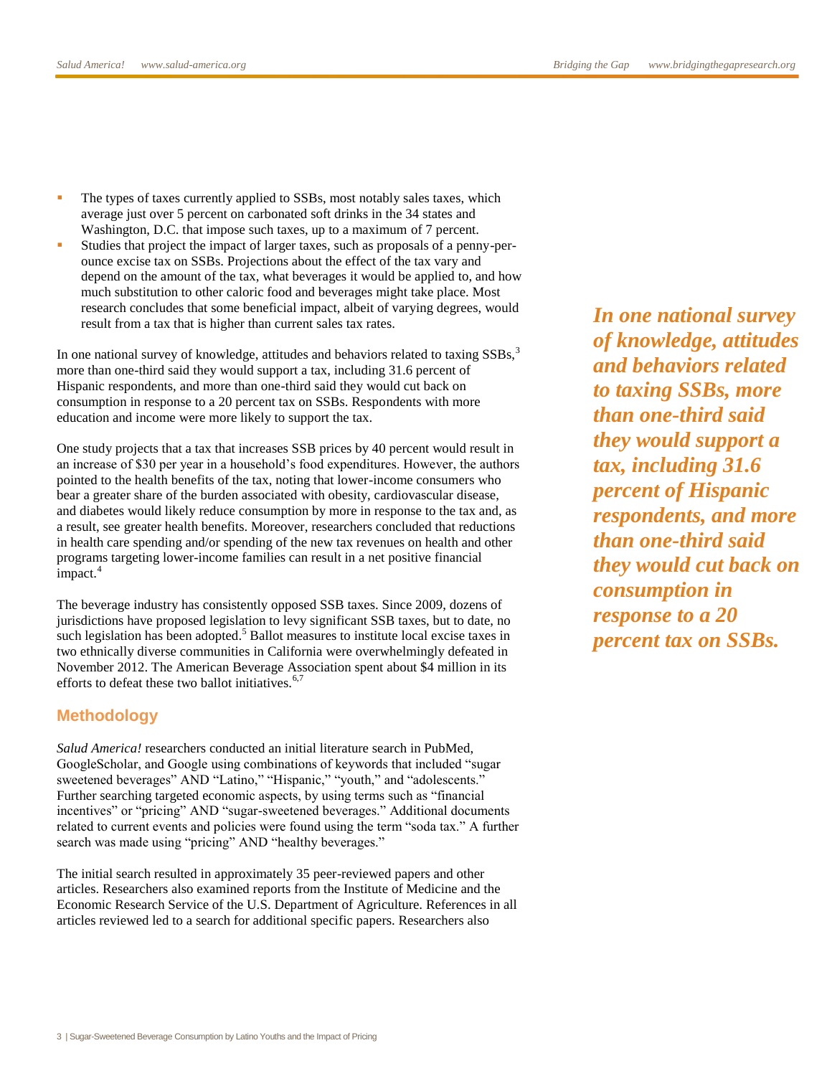- The types of taxes currently applied to SSBs, most notably sales taxes, which average just over 5 percent on carbonated soft drinks in the 34 states and Washington, D.C. that impose such taxes, up to a maximum of 7 percent.
- Studies that project the impact of larger taxes, such as proposals of a penny-perounce excise tax on SSBs. Projections about the effect of the tax vary and depend on the amount of the tax, what beverages it would be applied to, and how much substitution to other caloric food and beverages might take place. Most research concludes that some beneficial impact, albeit of varying degrees, would result from a tax that is higher than current sales tax rates.

In one national survey of knowledge, attitudes and behaviors related to taxing SSBs,<sup>3</sup> more than one-third said they would support a tax, including 31.6 percent of Hispanic respondents, and more than one-third said they would cut back on consumption in response to a 20 percent tax on SSBs. Respondents with more education and income were more likely to support the tax.

One study projects that a tax that increases SSB prices by 40 percent would result in an increase of \$30 per year in a household's food expenditures. However, the authors pointed to the health benefits of the tax, noting that lower-income consumers who bear a greater share of the burden associated with obesity, cardiovascular disease, and diabetes would likely reduce consumption by more in response to the tax and, as a result, see greater health benefits. Moreover, researchers concluded that reductions in health care spending and/or spending of the new tax revenues on health and other programs targeting lower-income families can result in a net positive financial impact.<sup>4</sup>

The beverage industry has consistently opposed SSB taxes. Since 2009, dozens of jurisdictions have proposed legislation to levy significant SSB taxes, but to date, no such legislation has been adopted. $5$  Ballot measures to institute local excise taxes in two ethnically diverse communities in California were overwhelmingly defeated in November 2012. The American Beverage Association spent about \$4 million in its efforts to defeat these two ballot initiatives. $6,7$ 

#### **Methodology**

*Salud America!* researchers conducted an initial literature search in PubMed, GoogleScholar, and Google using combinations of keywords that included "sugar sweetened beverages" AND "Latino," "Hispanic," "youth," and "adolescents." Further searching targeted economic aspects, by using terms such as "financial incentives" or "pricing" AND "sugar-sweetened beverages." Additional documents related to current events and policies were found using the term "soda tax." A further search was made using "pricing" AND "healthy beverages."

The initial search resulted in approximately 35 peer-reviewed papers and other articles. Researchers also examined reports from the Institute of Medicine and the Economic Research Service of the U.S. Department of Agriculture. References in all articles reviewed led to a search for additional specific papers. Researchers also

*In one national survey of knowledge, attitudes and behaviors related to taxing SSBs, more than one-third said they would support a tax, including 31.6 percent of Hispanic respondents, and more than one-third said they would cut back on consumption in response to a 20 percent tax on SSBs.*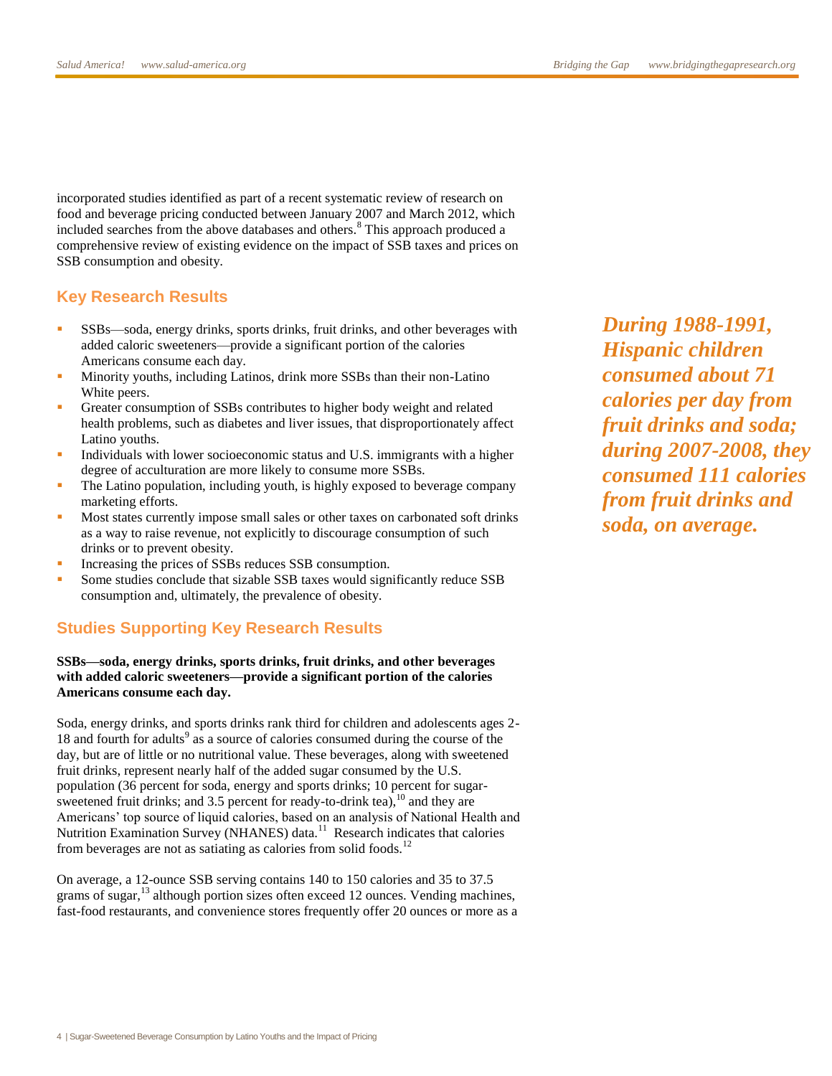incorporated studies identified as part of a recent systematic review of research on food and beverage pricing conducted between January 2007 and March 2012, which included searches from the above databases and others.<sup>8</sup> This approach produced a comprehensive review of existing evidence on the impact of SSB taxes and prices on SSB consumption and obesity.

#### **Key Research Results**

- SSBs—soda, energy drinks, sports drinks, fruit drinks, and other beverages with added caloric sweeteners—provide a significant portion of the calories Americans consume each day.
- Minority youths, including Latinos, drink more SSBs than their non-Latino White peers.
- Greater consumption of SSBs contributes to higher body weight and related health problems, such as diabetes and liver issues, that disproportionately affect Latino youths.
- Individuals with lower socioeconomic status and U.S. immigrants with a higher degree of acculturation are more likely to consume more SSBs.
- The Latino population, including youth, is highly exposed to beverage company marketing efforts.
- Most states currently impose small sales or other taxes on carbonated soft drinks as a way to raise revenue, not explicitly to discourage consumption of such drinks or to prevent obesity.
- Increasing the prices of SSBs reduces SSB consumption.
- Some studies conclude that sizable SSB taxes would significantly reduce SSB consumption and, ultimately, the prevalence of obesity.

### **Studies Supporting Key Research Results**

#### **SSBs—soda, energy drinks, sports drinks, fruit drinks, and other beverages with added caloric sweeteners—provide a significant portion of the calories Americans consume each day.**

Soda, energy drinks, and sports drinks rank third for children and adolescents ages 2- 18 and fourth for adults<sup>9</sup> as a source of calories consumed during the course of the day, but are of little or no nutritional value. These beverages, along with sweetened fruit drinks, represent nearly half of the added sugar consumed by the U.S. population (36 percent for soda, energy and sports drinks; 10 percent for sugarsweetened fruit drinks; and 3.5 percent for ready-to-drink tea),  $10$  and they are Americans' top source of liquid calories, based on an analysis of National Health and Nutrition Examination Survey (NHANES) data.<sup>11</sup> Research indicates that calories from beverages are not as satiating as calories from solid foods.<sup>1</sup>

On average, a 12-ounce SSB serving contains 140 to 150 calories and 35 to 37.5 grams of sugar,<sup>13</sup> although portion sizes often exceed 12 ounces. Vending machines, fast-food restaurants, and convenience stores frequently offer 20 ounces or more as a

*During 1988-1991, Hispanic children consumed about 71 calories per day from fruit drinks and soda; during 2007-2008, they consumed 111 calories from fruit drinks and soda, on average.*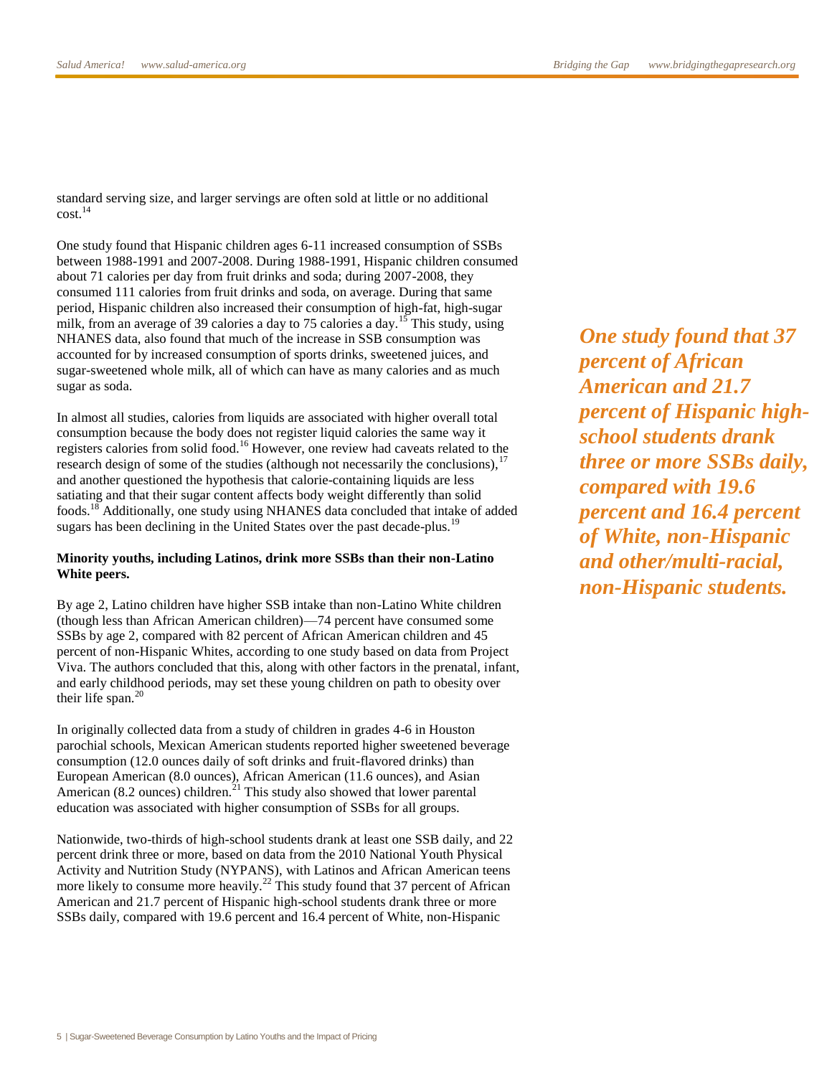standard serving size, and larger servings are often sold at little or no additional cost.<sup>14</sup>

One study found that Hispanic children ages 6-11 increased consumption of SSBs between 1988-1991 and 2007-2008. During 1988-1991, Hispanic children consumed about 71 calories per day from fruit drinks and soda; during 2007-2008, they consumed 111 calories from fruit drinks and soda, on average. During that same period, Hispanic children also increased their consumption of high-fat, high-sugar milk, from an average of 39 calories a day to 75 calories a day.<sup>15</sup> This study, using NHANES data, also found that much of the increase in SSB consumption was accounted for by increased consumption of sports drinks, sweetened juices, and sugar-sweetened whole milk, all of which can have as many calories and as much sugar as soda.

In almost all studies, calories from liquids are associated with higher overall total consumption because the body does not register liquid calories the same way it registers calories from solid food.<sup>16</sup> However, one review had caveats related to the research design of some of the studies (although not necessarily the conclusions), $17$ and another questioned the hypothesis that calorie-containing liquids are less satiating and that their sugar content affects body weight differently than solid foods.<sup>18</sup> Additionally, one study using NHANES data concluded that intake of added sugars has been declining in the United States over the past decade-plus.<sup>19</sup>

#### **Minority youths, including Latinos, drink more SSBs than their non-Latino White peers.**

By age 2, Latino children have higher SSB intake than non-Latino White children (though less than African American children)—74 percent have consumed some SSBs by age 2, compared with 82 percent of African American children and 45 percent of non-Hispanic Whites, according to one study based on data from Project Viva. The authors concluded that this, along with other factors in the prenatal, infant, and early childhood periods, may set these young children on path to obesity over their life span. $20$ 

In originally collected data from a study of children in grades 4-6 in Houston parochial schools, Mexican American students reported higher sweetened beverage consumption (12.0 ounces daily of soft drinks and fruit-flavored drinks) than European American (8.0 ounces), African American (11.6 ounces), and Asian American (8.2 ounces) children.<sup>21</sup> This study also showed that lower parental education was associated with higher consumption of SSBs for all groups.

Nationwide, two-thirds of high-school students drank at least one SSB daily, and 22 percent drink three or more, based on data from the 2010 National Youth Physical Activity and Nutrition Study (NYPANS), with Latinos and African American teens more likely to consume more heavily.<sup>22</sup> This study found that 37 percent of African American and 21.7 percent of Hispanic high-school students drank three or more SSBs daily, compared with 19.6 percent and 16.4 percent of White, non-Hispanic

*One study found that 37 percent of African American and 21.7 percent of Hispanic highschool students drank three or more SSBs daily, compared with 19.6 percent and 16.4 percent of White, non-Hispanic and other/multi-racial, non-Hispanic students.*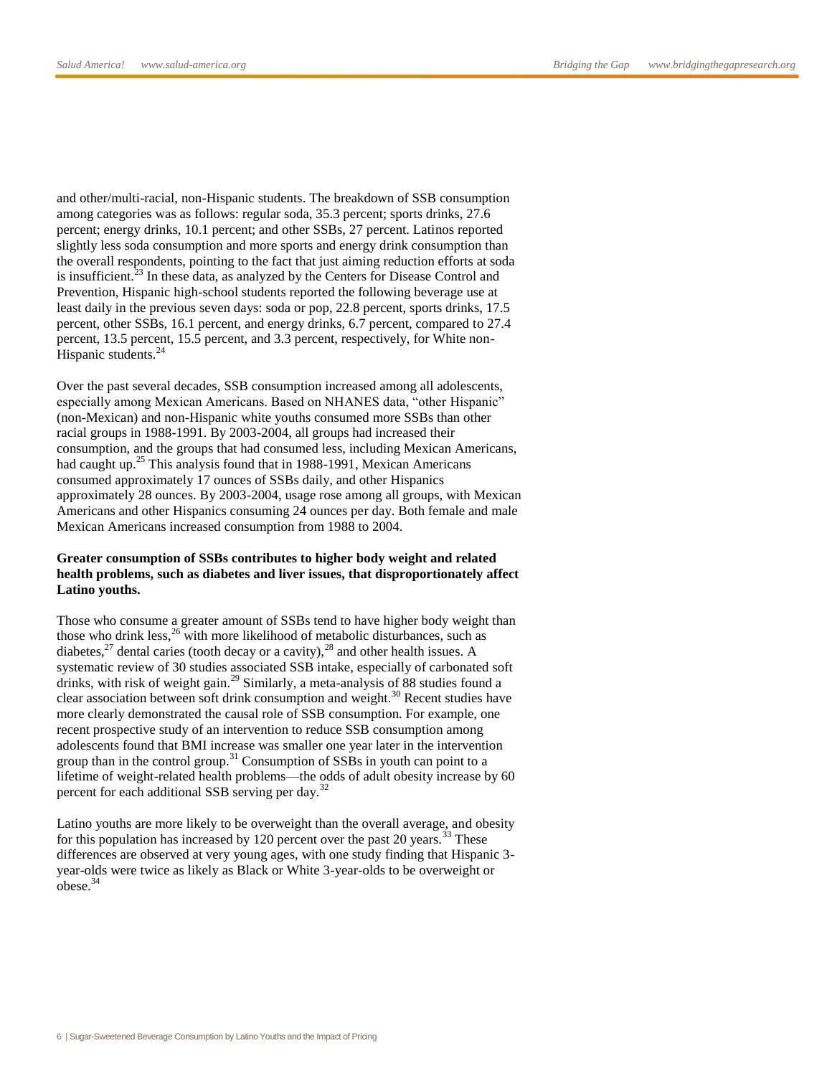and other/multi-racial, non-Hispanic students. The breakdown of SSB consumption among categories was as follows: regular soda, 35.3 percent; sports drinks, 27.6 percent; energy drinks, 10.1 percent; and other SSBs, 27 percent. Latinos reported slightly less soda consumption and more sports and energy drink consumption than the overall respondents, pointing to the fact that just aiming reduction efforts at soda is insufficient.<sup>23</sup> In these data, as analyzed by the Centers for Disease Control and Prevention, Hispanic high-school students reported the following beverage use at least daily in the previous seven days: soda or pop, 22.8 percent, sports drinks, 17.5 percent, other SSBs, 16.1 percent, and energy drinks, 6.7 percent, compared to 27.4 percent, 13.5 percent, 15.5 percent, and 3.3 percent, respectively, for White non-Hispanic students. $^{24}$ 

Over the past several decades, SSB consumption increased among all adolescents, especially among Mexican Americans. Based on NHANES data, "other Hispanic" (non-Mexican) and non-Hispanic white youths consumed more SSBs than other racial groups in 1988-1991. By 2003-2004, all groups had increased their consumption, and the groups that had consumed less, including Mexican Americans, had caught up. $25$  This analysis found that in 1988-1991, Mexican Americans consumed approximately 17 ounces of SSBs daily, and other Hispanics approximately 28 ounces. By 2003-2004, usage rose among all groups, with Mexican Americans and other Hispanics consuming 24 ounces per day. Both female and male Mexican Americans increased consumption from 1988 to 2004.

#### **Greater consumption of SSBs contributes to higher body weight and related health problems, such as diabetes and liver issues, that disproportionately affect Latino youths.**

Those who consume a greater amount of SSBs tend to have higher body weight than those who drink less,<sup>26</sup> with more likelihood of metabolic disturbances, such as diabetes,<sup>27</sup> dental caries (tooth decay or a cavity),<sup>28</sup> and other health issues. A systematic review of 30 studies associated SSB intake, especially of carbonated soft drinks, with risk of weight gain.<sup>29</sup> Similarly, a meta-analysis of 88 studies found a clear association between soft drink consumption and weight. $30$  Recent studies have more clearly demonstrated the causal role of SSB consumption. For example, one recent prospective study of an intervention to reduce SSB consumption among adolescents found that BMI increase was smaller one year later in the intervention group than in the control group.<sup>31</sup> Consumption of SSBs in youth can point to a lifetime of weight-related health problems—the odds of adult obesity increase by 60 percent for each additional SSB serving per day. $32$ 

Latino youths are more likely to be overweight than the overall average, and obesity for this population has increased by 120 percent over the past 20 years.<sup>33</sup> These differences are observed at very young ages, with one study finding that Hispanic 3 year-olds were twice as likely as Black or White 3-year-olds to be overweight or  $obese.<sup>34</sup>$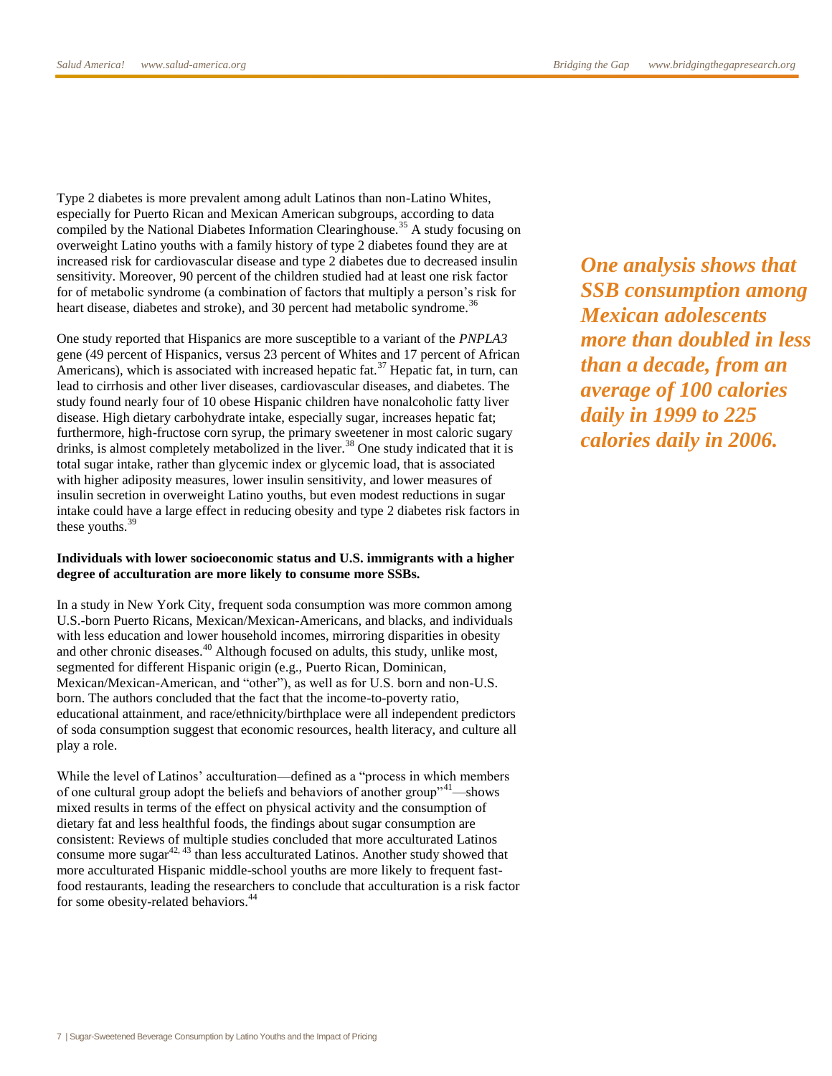Type 2 diabetes is more prevalent among adult Latinos than non-Latino Whites, especially for Puerto Rican and Mexican American subgroups, according to data compiled by the National Diabetes Information Clearinghouse.<sup>35</sup> A study focusing on overweight Latino youths with a family history of type 2 diabetes found they are at increased risk for cardiovascular disease and type 2 diabetes due to decreased insulin sensitivity. Moreover, 90 percent of the children studied had at least one risk factor for of metabolic syndrome (a combination of factors that multiply a person's risk for heart disease, diabetes and stroke), and 30 percent had metabolic syndrome.<sup>36</sup>

One study reported that Hispanics are more susceptible to a variant of the *PNPLA3*  gene (49 percent of Hispanics, versus 23 percent of Whites and 17 percent of African Americans), which is associated with increased hepatic fat.<sup>37</sup> Hepatic fat, in turn, can lead to cirrhosis and other liver diseases, cardiovascular diseases, and diabetes. The study found nearly four of 10 obese Hispanic children have nonalcoholic fatty liver disease. High dietary carbohydrate intake, especially sugar, increases hepatic fat; furthermore, high-fructose corn syrup, the primary sweetener in most caloric sugary drinks, is almost completely metabolized in the liver.<sup>38</sup> One study indicated that it is total sugar intake, rather than glycemic index or glycemic load, that is associated with higher adiposity measures, lower insulin sensitivity, and lower measures of insulin secretion in overweight Latino youths, but even modest reductions in sugar intake could have a large effect in reducing obesity and type 2 diabetes risk factors in these youths. $39$ 

#### **Individuals with lower socioeconomic status and U.S. immigrants with a higher degree of acculturation are more likely to consume more SSBs.**

In a study in New York City, frequent soda consumption was more common among U.S.-born Puerto Ricans, Mexican/Mexican-Americans, and blacks, and individuals with less education and lower household incomes, mirroring disparities in obesity and other chronic diseases.<sup>40</sup> Although focused on adults, this study, unlike most, segmented for different Hispanic origin (e.g., Puerto Rican, Dominican, Mexican/Mexican-American, and "other"), as well as for U.S. born and non-U.S. born. The authors concluded that the fact that the income-to-poverty ratio, educational attainment, and race/ethnicity/birthplace were all independent predictors of soda consumption suggest that economic resources, health literacy, and culture all play a role.

While the level of Latinos' acculturation—defined as a "process in which members of one cultural group adopt the beliefs and behaviors of another group"<sup>41</sup>—shows mixed results in terms of the effect on physical activity and the consumption of dietary fat and less healthful foods, the findings about sugar consumption are consistent: Reviews of multiple studies concluded that more acculturated Latinos consume more sugar $42,43$  than less acculturated Latinos. Another study showed that more acculturated Hispanic middle-school youths are more likely to frequent fastfood restaurants, leading the researchers to conclude that acculturation is a risk factor for some obesity-related behaviors.<sup>44</sup>

*One analysis shows that SSB consumption among Mexican adolescents more than doubled in less than a decade, from an average of 100 calories daily in 1999 to 225 calories daily in 2006.*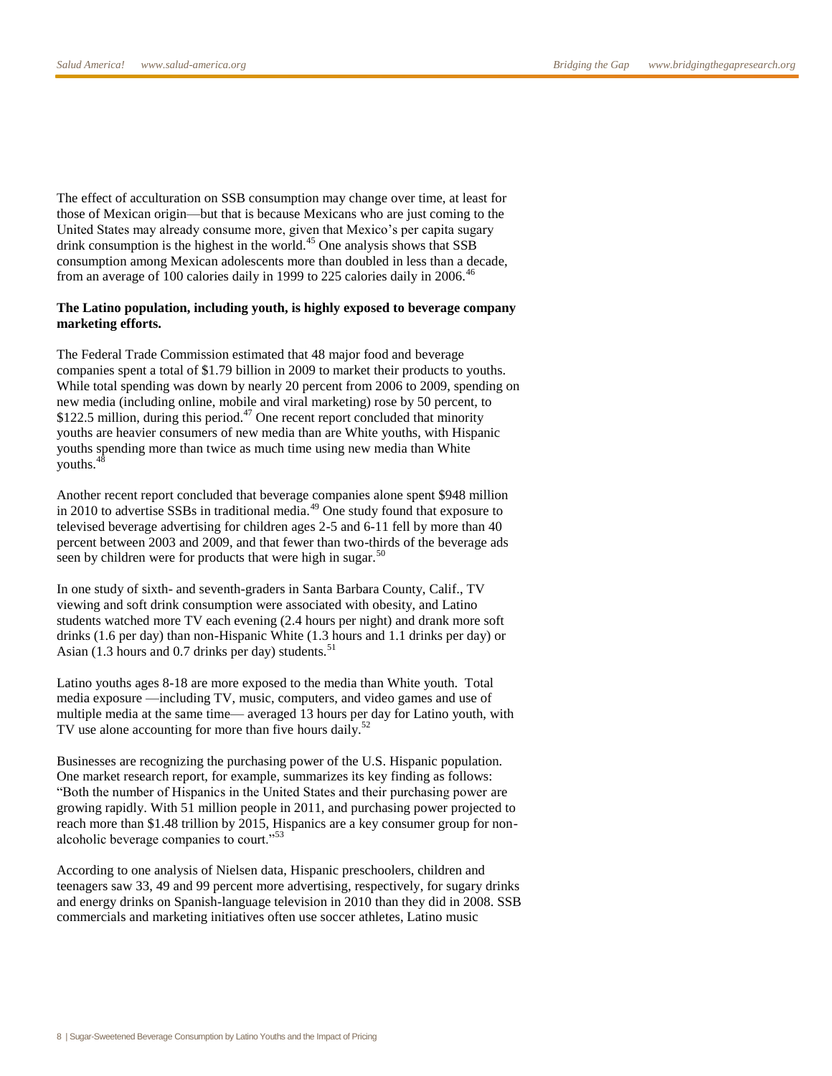The effect of acculturation on SSB consumption may change over time, at least for those of Mexican origin—but that is because Mexicans who are just coming to the United States may already consume more, given that Mexico's per capita sugary drink consumption is the highest in the world.<sup>45</sup> One analysis shows that  $SSB$ consumption among Mexican adolescents more than doubled in less than a decade, from an average of 100 calories daily in 1999 to 225 calories daily in 2006.<sup>46</sup>

#### **The Latino population, including youth, is highly exposed to beverage company marketing efforts.**

The Federal Trade Commission estimated that 48 major food and beverage companies spent a total of \$1.79 billion in 2009 to market their products to youths. While total spending was down by nearly 20 percent from 2006 to 2009, spending on new media (including online, mobile and viral marketing) rose by 50 percent, to  $$122.5$  million, during this period.<sup>47</sup> One recent report concluded that minority youths are heavier consumers of new media than are White youths, with Hispanic youths spending more than twice as much time using new media than White youths.<sup>4</sup>

Another recent report concluded that beverage companies alone spent \$948 million in 2010 to advertise SSBs in traditional media.<sup>49</sup> One study found that exposure to televised beverage advertising for children ages 2-5 and 6-11 fell by more than 40 percent between 2003 and 2009, and that fewer than two-thirds of the beverage ads seen by children were for products that were high in sugar. $50$ 

In one study of sixth- and seventh-graders in Santa Barbara County, Calif., TV viewing and soft drink consumption were associated with obesity, and Latino students watched more TV each evening (2.4 hours per night) and drank more soft drinks (1.6 per day) than non-Hispanic White (1.3 hours and 1.1 drinks per day) or Asian (1.3 hours and 0.7 drinks per day) students.<sup>51</sup>

Latino youths ages 8-18 are more exposed to the media than White youth. Total media exposure —including TV, music, computers, and video games and use of multiple media at the same time— averaged 13 hours per day for Latino youth, with TV use alone accounting for more than five hours daily.<sup>52</sup>

Businesses are recognizing the purchasing power of the U.S. Hispanic population. One market research report, for example, summarizes its key finding as follows: "Both the number of Hispanics in the United States and their purchasing power are growing rapidly. With 51 million people in 2011, and purchasing power projected to reach more than \$1.48 trillion by 2015, Hispanics are a key consumer group for nonalcoholic beverage companies to court."<sup>53</sup>

According to one analysis of Nielsen data, Hispanic preschoolers, children and teenagers saw 33, 49 and 99 percent more advertising, respectively, for sugary drinks and energy drinks on Spanish-language television in 2010 than they did in 2008. SSB commercials and marketing initiatives often use soccer athletes, Latino music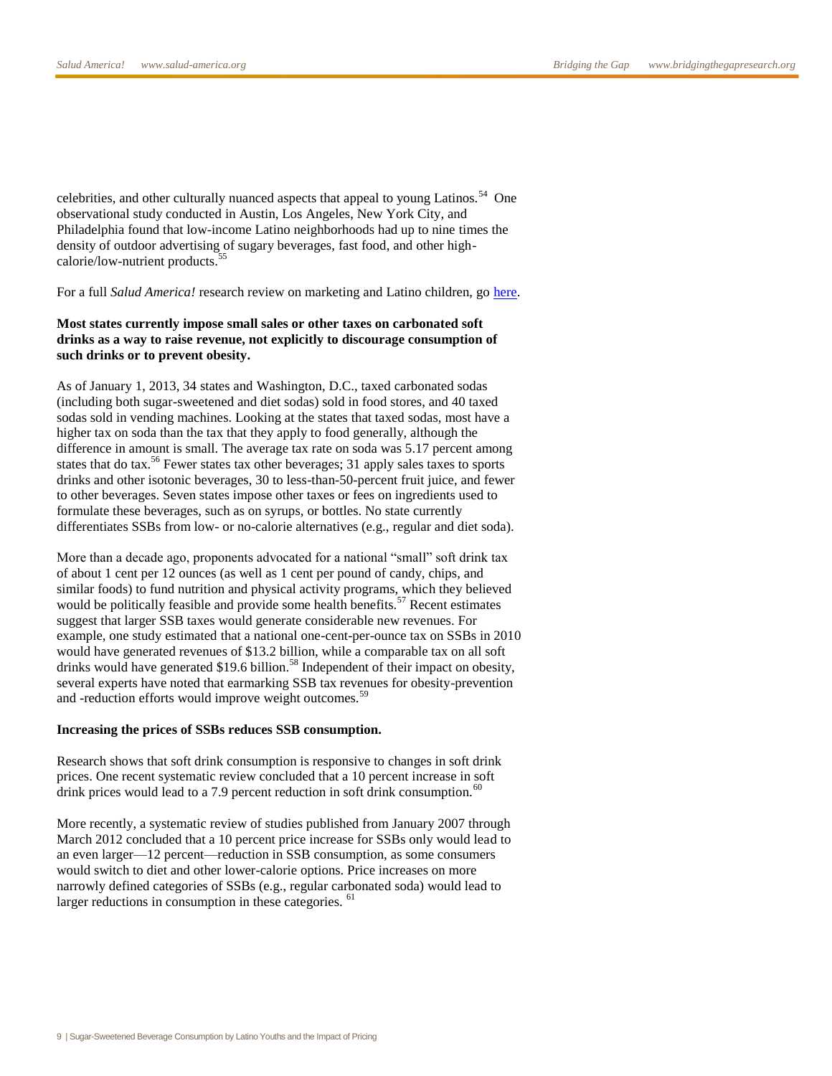celebrities, and other culturally nuanced aspects that appeal to young Latinos.<sup>54</sup> One observational study conducted in Austin, Los Angeles, New York City, and Philadelphia found that low-income Latino neighborhoods had up to nine times the density of outdoor advertising of sugary beverages, fast food, and other highcalorie/low-nutrient products.

For a full *Salud America!* research review on marketing and Latino children, go [here.](http://salud-america.org/research#healthier-marketing)

#### **Most states currently impose small sales or other taxes on carbonated soft drinks as a way to raise revenue, not explicitly to discourage consumption of such drinks or to prevent obesity.**

As of January 1, 2013, 34 states and Washington, D.C., taxed carbonated sodas (including both sugar-sweetened and diet sodas) sold in food stores, and 40 taxed sodas sold in vending machines. Looking at the states that taxed sodas, most have a higher tax on soda than the tax that they apply to food generally, although the difference in amount is small. The average tax rate on soda was 5.17 percent among states that do tax.<sup>56</sup> Fewer states tax other beverages; 31 apply sales taxes to sports drinks and other isotonic beverages, 30 to less-than-50-percent fruit juice, and fewer to other beverages. Seven states impose other taxes or fees on ingredients used to formulate these beverages, such as on syrups, or bottles. No state currently differentiates SSBs from low- or no-calorie alternatives (e.g., regular and diet soda).

More than a decade ago, proponents advocated for a national "small" soft drink tax of about 1 cent per 12 ounces (as well as 1 cent per pound of candy, chips, and similar foods) to fund nutrition and physical activity programs, which they believed would be politically feasible and provide some health benefits. $57$  Recent estimates suggest that larger SSB taxes would generate considerable new revenues. For example, one study estimated that a national one-cent-per-ounce tax on SSBs in 2010 would have generated revenues of \$13.2 billion, while a comparable tax on all soft drinks would have generated \$19.6 billion.<sup>58</sup> Independent of their impact on obesity, several experts have noted that earmarking SSB tax revenues for obesity-prevention and -reduction efforts would improve weight outcomes.<sup>39</sup>

#### **Increasing the prices of SSBs reduces SSB consumption.**

Research shows that soft drink consumption is responsive to changes in soft drink prices. One recent systematic review concluded that a 10 percent increase in soft drink prices would lead to a 7.9 percent reduction in soft drink consumption.<sup>60</sup>

More recently, a systematic review of studies published from January 2007 through March 2012 concluded that a 10 percent price increase for SSBs only would lead to an even larger—12 percent—reduction in SSB consumption, as some consumers would switch to diet and other lower-calorie options. Price increases on more narrowly defined categories of SSBs (e.g., regular carbonated soda) would lead to larger reductions in consumption in these categories.<sup>61</sup>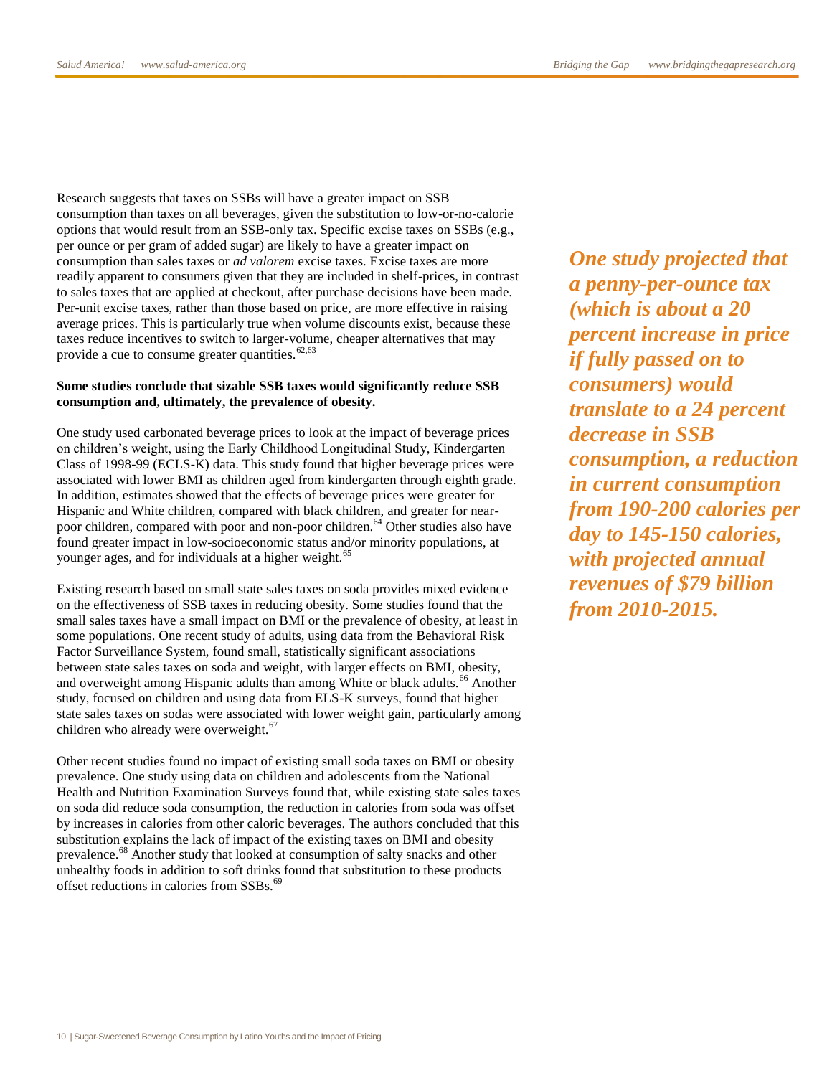Research suggests that taxes on SSBs will have a greater impact on SSB consumption than taxes on all beverages, given the substitution to low-or-no-calorie options that would result from an SSB-only tax. Specific excise taxes on SSBs (e.g., per ounce or per gram of added sugar) are likely to have a greater impact on consumption than sales taxes or *ad valorem* excise taxes. Excise taxes are more readily apparent to consumers given that they are included in shelf-prices, in contrast to sales taxes that are applied at checkout, after purchase decisions have been made. Per-unit excise taxes, rather than those based on price, are more effective in raising average prices. This is particularly true when volume discounts exist, because these taxes reduce incentives to switch to larger-volume, cheaper alternatives that may provide a cue to consume greater quantities. $62,63$ 

#### **Some studies conclude that sizable SSB taxes would significantly reduce SSB consumption and, ultimately, the prevalence of obesity.**

One study used carbonated beverage prices to look at the impact of beverage prices on children's weight, using the Early Childhood Longitudinal Study, Kindergarten Class of 1998-99 (ECLS-K) data. This study found that higher beverage prices were associated with lower BMI as children aged from kindergarten through eighth grade. In addition, estimates showed that the effects of beverage prices were greater for Hispanic and White children, compared with black children, and greater for nearpoor children, compared with poor and non-poor children.<sup>64</sup> Other studies also have found greater impact in low-socioeconomic status and/or minority populations, at younger ages, and for individuals at a higher weight.<sup>65</sup>

Existing research based on small state sales taxes on soda provides mixed evidence on the effectiveness of SSB taxes in reducing obesity. Some studies found that the small sales taxes have a small impact on BMI or the prevalence of obesity, at least in some populations. One recent study of adults, using data from the Behavioral Risk Factor Surveillance System, found small, statistically significant associations between state sales taxes on soda and weight, with larger effects on BMI, obesity, and overweight among Hispanic adults than among White or black adults.<sup>66</sup> Another study, focused on children and using data from ELS-K surveys, found that higher state sales taxes on sodas were associated with lower weight gain, particularly among children who already were overweight.<sup>67</sup>

Other recent studies found no impact of existing small soda taxes on BMI or obesity prevalence. One study using data on children and adolescents from the National Health and Nutrition Examination Surveys found that, while existing state sales taxes on soda did reduce soda consumption, the reduction in calories from soda was offset by increases in calories from other caloric beverages. The authors concluded that this substitution explains the lack of impact of the existing taxes on BMI and obesity prevalence.<sup>68</sup> Another study that looked at consumption of salty snacks and other unhealthy foods in addition to soft drinks found that substitution to these products offset reductions in calories from SSBs.<sup>69</sup>

*One study projected that a penny-per-ounce tax (which is about a 20 percent increase in price if fully passed on to consumers) would translate to a 24 percent decrease in SSB consumption, a reduction in current consumption from 190-200 calories per day to 145-150 calories, with projected annual revenues of \$79 billion from 2010-2015.*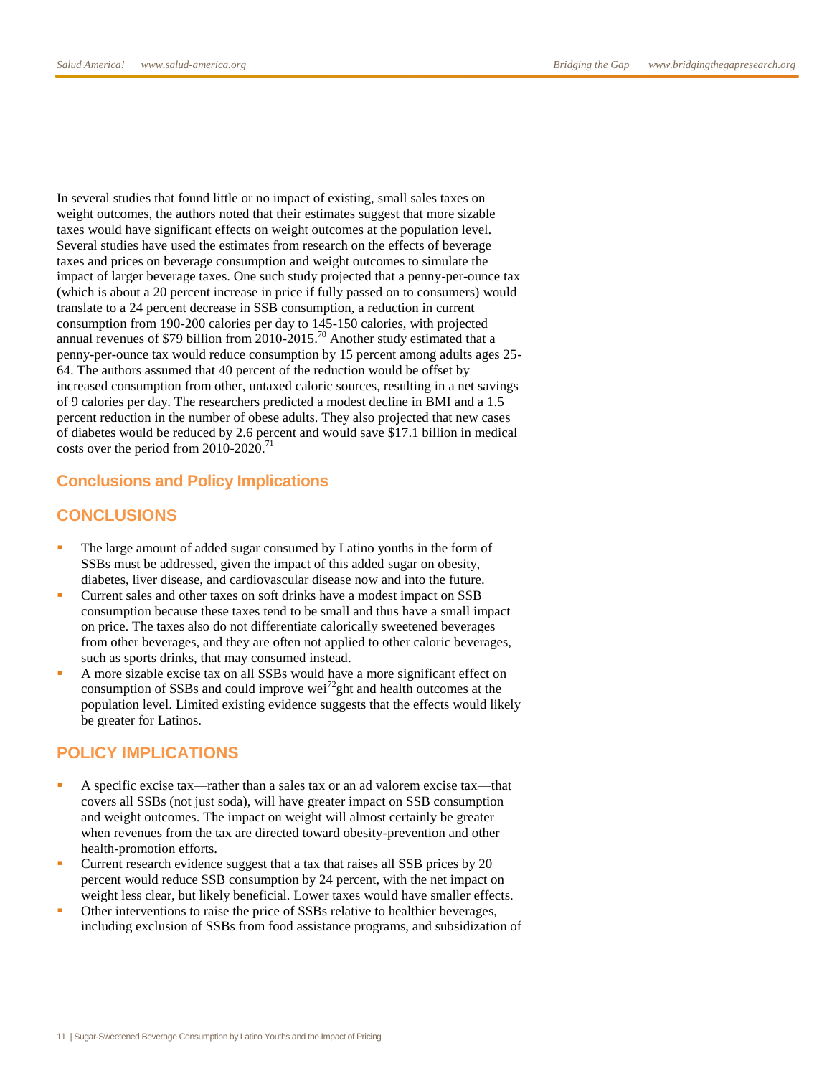In several studies that found little or no impact of existing, small sales taxes on weight outcomes, the authors noted that their estimates suggest that more sizable taxes would have significant effects on weight outcomes at the population level. Several studies have used the estimates from research on the effects of beverage taxes and prices on beverage consumption and weight outcomes to simulate the impact of larger beverage taxes. One such study projected that a penny-per-ounce tax (which is about a 20 percent increase in price if fully passed on to consumers) would translate to a 24 percent decrease in SSB consumption, a reduction in current consumption from 190-200 calories per day to 145-150 calories, with projected annual revenues of \$79 billion from 2010-2015.<sup>70</sup> Another study estimated that a penny-per-ounce tax would reduce consumption by 15 percent among adults ages 25- 64. The authors assumed that 40 percent of the reduction would be offset by increased consumption from other, untaxed caloric sources, resulting in a net savings of 9 calories per day. The researchers predicted a modest decline in BMI and a 1.5 percent reduction in the number of obese adults. They also projected that new cases of diabetes would be reduced by 2.6 percent and would save \$17.1 billion in medical costs over the period from  $2010-2020$ .<sup>71</sup>

#### **Conclusions and Policy Implications**

#### **CONCLUSIONS**

- The large amount of added sugar consumed by Latino youths in the form of SSBs must be addressed, given the impact of this added sugar on obesity, diabetes, liver disease, and cardiovascular disease now and into the future.
- Current sales and other taxes on soft drinks have a modest impact on SSB consumption because these taxes tend to be small and thus have a small impact on price. The taxes also do not differentiate calorically sweetened beverages from other beverages, and they are often not applied to other caloric beverages, such as sports drinks, that may consumed instead.
- A more sizable excise tax on all SSBs would have a more significant effect on consumption of SSBs and could improve wei<sup>72</sup>ght and health outcomes at the population level. Limited existing evidence suggests that the effects would likely be greater for Latinos.

#### **POLICY IMPLICATIONS**

- A specific excise tax—rather than a sales tax or an ad valorem excise tax—that covers all SSBs (not just soda), will have greater impact on SSB consumption and weight outcomes. The impact on weight will almost certainly be greater when revenues from the tax are directed toward obesity-prevention and other health-promotion efforts.
- Current research evidence suggest that a tax that raises all SSB prices by 20 percent would reduce SSB consumption by 24 percent, with the net impact on weight less clear, but likely beneficial. Lower taxes would have smaller effects.
- Other interventions to raise the price of SSBs relative to healthier beverages, including exclusion of SSBs from food assistance programs, and subsidization of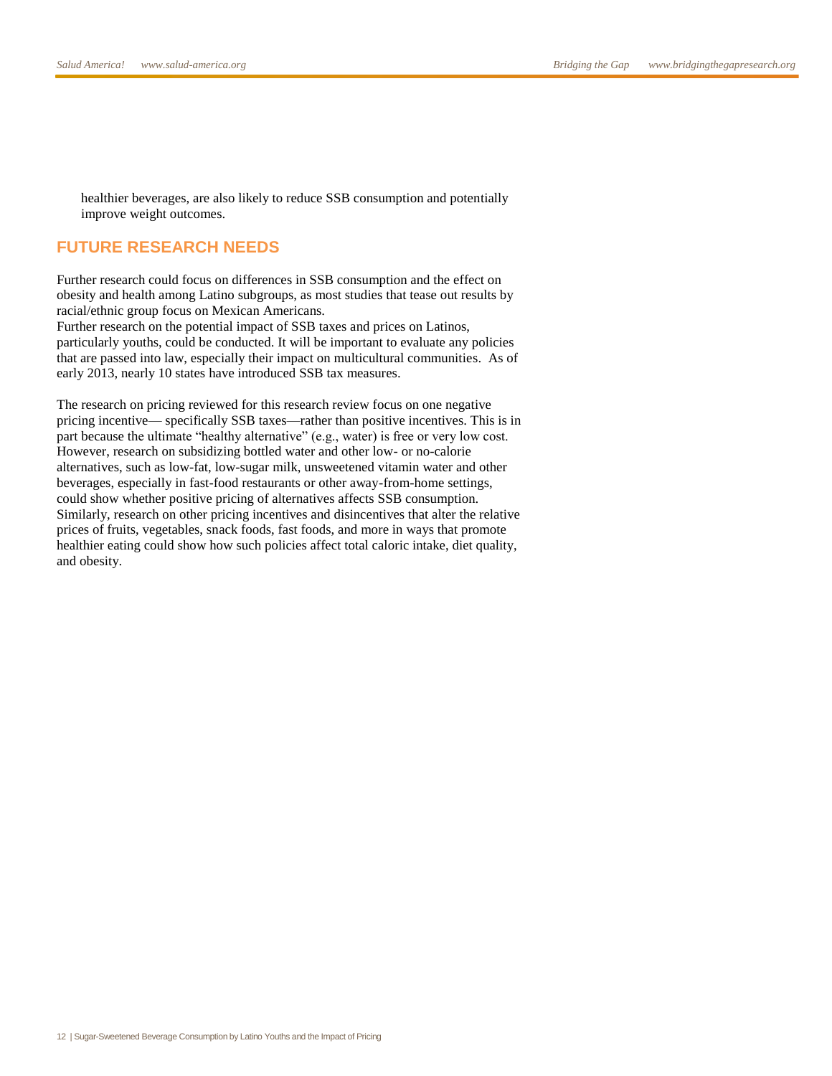healthier beverages, are also likely to reduce SSB consumption and potentially improve weight outcomes.

#### **FUTURE RESEARCH NEEDS**

Further research could focus on differences in SSB consumption and the effect on obesity and health among Latino subgroups, as most studies that tease out results by racial/ethnic group focus on Mexican Americans.

Further research on the potential impact of SSB taxes and prices on Latinos, particularly youths, could be conducted. It will be important to evaluate any policies that are passed into law, especially their impact on multicultural communities. As of early 2013, nearly 10 states have introduced SSB tax measures.

The research on pricing reviewed for this research review focus on one negative pricing incentive— specifically SSB taxes—rather than positive incentives. This is in part because the ultimate "healthy alternative" (e.g., water) is free or very low cost. However, research on subsidizing bottled water and other low- or no-calorie alternatives, such as low-fat, low-sugar milk, unsweetened vitamin water and other beverages, especially in fast-food restaurants or other away-from-home settings, could show whether positive pricing of alternatives affects SSB consumption. Similarly, research on other pricing incentives and disincentives that alter the relative prices of fruits, vegetables, snack foods, fast foods, and more in ways that promote healthier eating could show how such policies affect total caloric intake, diet quality, and obesity.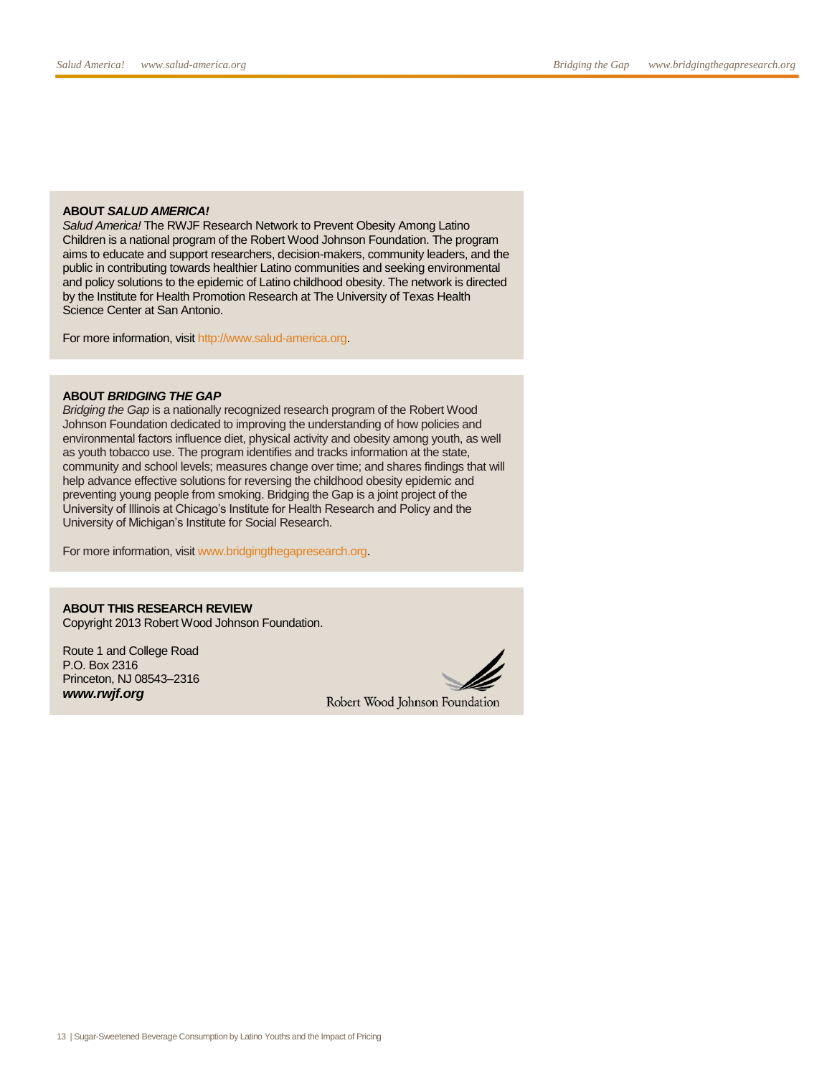#### **ABOUT** *SALUD AMERICA!*

*Salud America!* The RWJF Research Network to Prevent Obesity Among Latino Children is a national program of the Robert Wood Johnson Foundation. The program aims to educate and support researchers, decision-makers, community leaders, and the public in contributing towards healthier Latino communities and seeking environmental and policy solutions to the epidemic of Latino childhood obesity. The network is directed by the Institute for Health Promotion Research at The University of Texas Health Science Center at San Antonio.

For more information, visi[t http://www.salud-america.org.](http://www.salud-america.org/)

#### **ABOUT** *BRIDGING THE GAP*

*Bridging the Gap* is a nationally recognized research program of the Robert Wood Johnson Foundation dedicated to improving the understanding of how policies and environmental factors influence diet, physical activity and obesity among youth, as well as youth tobacco use. The program identifies and tracks information at the state, community and school levels; measures change over time; and shares findings that will help advance effective solutions for reversing the childhood obesity epidemic and preventing young people from smoking. Bridging the Gap is a joint project of the University of Illinois at Chicago's Institute for Health Research and Policy and the University of Michigan's Institute for Social Research.

For more information, visit [www.bridgingthegapresearch.org.](http://www.bridgingthegapresearch.org/)

**ABOUT THIS RESEARCH REVIEW** Copyright 2013 Robert Wood Johnson Foundation.

Route 1 and College Road P.O. Box 2316 Princeton, NJ 08543–2316 *www.rwjf.org*



Robert Wood Johnson Foundation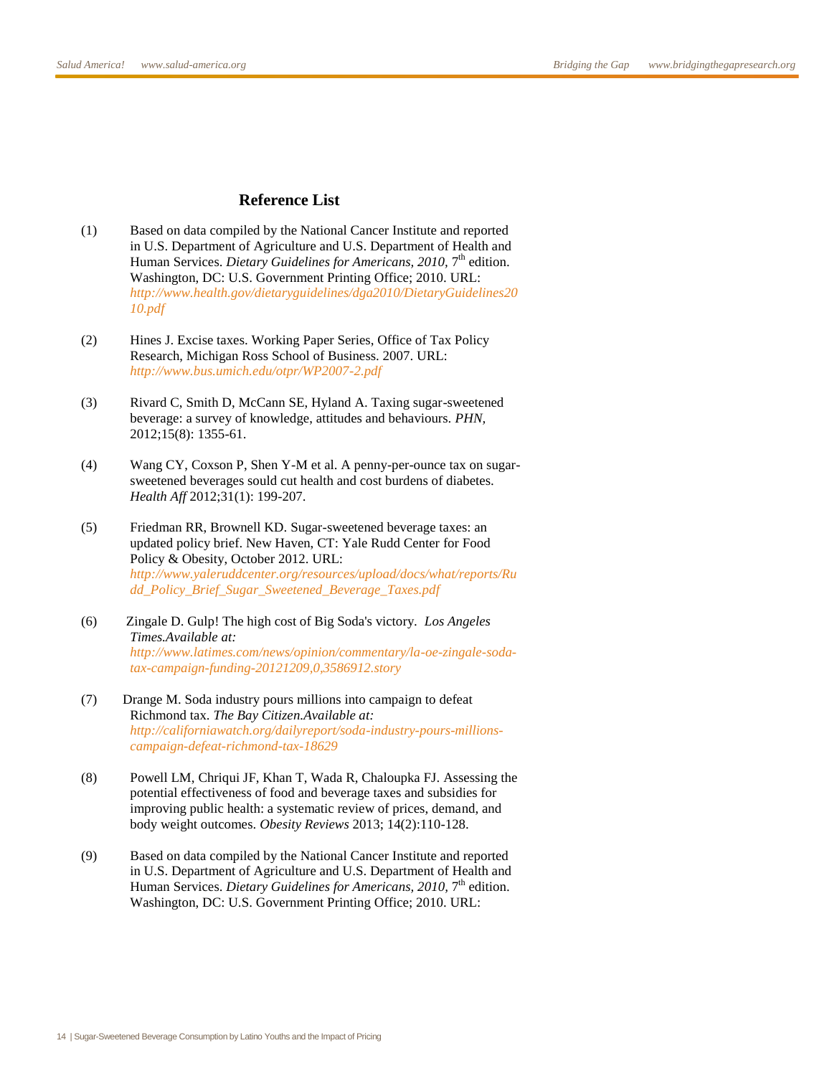#### **Reference List**

- (1) Based on data compiled by the National Cancer Institute and reported in U.S. Department of Agriculture and U.S. Department of Health and Human Services. *Dietary Guidelines for Americans, 2010, 7*<sup>th</sup> edition. Washington, DC: U.S. Government Printing Office; 2010. URL: *[http://www.health.gov/dietaryguidelines/dga2010/DietaryGuidelines20](http://www.health.gov/dietaryguidelines/dga2010/DietaryGuidelines2010.pdf) [10.pdf](http://www.health.gov/dietaryguidelines/dga2010/DietaryGuidelines2010.pdf)*
- (2) Hines J. Excise taxes. Working Paper Series, Office of Tax Policy Research, Michigan Ross School of Business. 2007. URL: *<http://www.bus.umich.edu/otpr/WP2007-2.pdf>*
- (3) Rivard C, Smith D, McCann SE, Hyland A. Taxing sugar-sweetened beverage: a survey of knowledge, attitudes and behaviours. *PHN,* 2012;15(8): 1355-61.
- (4) Wang CY, Coxson P, Shen Y-M et al. A penny-per-ounce tax on sugarsweetened beverages sould cut health and cost burdens of diabetes. *Health Aff* 2012;31(1): 199-207.
- (5) Friedman RR, Brownell KD. Sugar-sweetened beverage taxes: an updated policy brief. New Haven, CT: Yale Rudd Center for Food Policy & Obesity, October 2012. URL: *[http://www.yaleruddcenter.org/resources/upload/docs/what/reports/Ru](http://www.yaleruddcenter.org/resources/upload/docs/what/reports/Rudd_Policy_Brief_Sugar_Sweetened_Beverage_Taxes.pdf) [dd\\_Policy\\_Brief\\_Sugar\\_Sweetened\\_Beverage\\_Taxes.pdf](http://www.yaleruddcenter.org/resources/upload/docs/what/reports/Rudd_Policy_Brief_Sugar_Sweetened_Beverage_Taxes.pdf)*
- (6) Zingale D. Gulp! The high cost of Big Soda's victory. *Los Angeles Times.Available at: [http://www.latimes.com/news/opinion/commentary/la-oe-zingale-soda](http://www.latimes.com/news/opinion/commentary/la-oe-zingale-soda-tax-campaign-funding-20121209,0,3586912.story)[tax-campaign-funding-20121209,0,3586912.story](http://www.latimes.com/news/opinion/commentary/la-oe-zingale-soda-tax-campaign-funding-20121209,0,3586912.story)*
- (7) Drange M. Soda industry pours millions into campaign to defeat Richmond tax. *The Bay Citizen.Available at: [http://californiawatch.org/dailyreport/soda-industry-pours-millions](http://californiawatch.org/dailyreport/soda-industry-pours-millions-campaign-defeat-richmond-tax-18629)[campaign-defeat-richmond-tax-18629](http://californiawatch.org/dailyreport/soda-industry-pours-millions-campaign-defeat-richmond-tax-18629)*
- (8) Powell LM, Chriqui JF, Khan T, Wada R, Chaloupka FJ. Assessing the potential effectiveness of food and beverage taxes and subsidies for improving public health: a systematic review of prices, demand, and body weight outcomes. *Obesity Reviews* 2013; 14(2):110-128.
- (9) Based on data compiled by the National Cancer Institute and reported in U.S. Department of Agriculture and U.S. Department of Health and Human Services. *Dietary Guidelines for Americans, 2010, 7*<sup>th</sup> edition. Washington, DC: U.S. Government Printing Office; 2010. URL: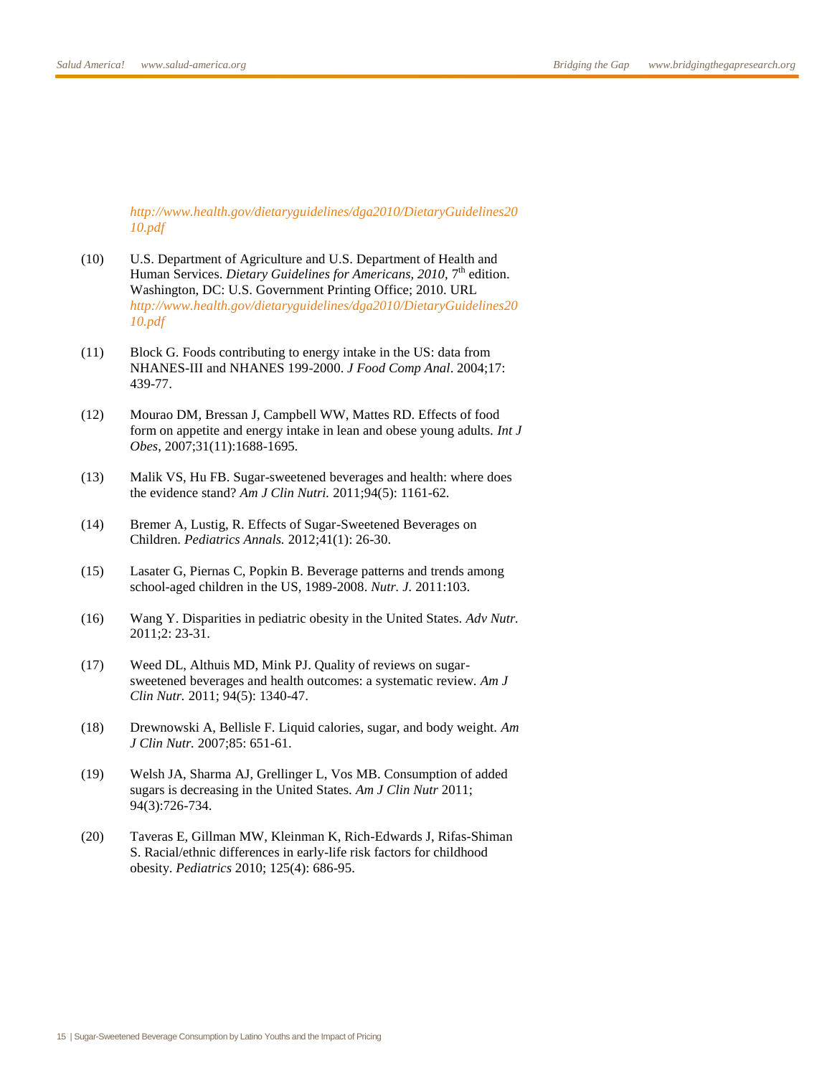*[http://www.health.gov/dietaryguidelines/dga2010/DietaryGuidelines20](http://www.health.gov/dietaryguidelines/dga2010/DietaryGuidelines2010.pdf) [10.pdf](http://www.health.gov/dietaryguidelines/dga2010/DietaryGuidelines2010.pdf)*

- (10) U.S. Department of Agriculture and U.S. Department of Health and Human Services. *Dietary Guidelines for Americans, 2010, 7*<sup>th</sup> edition. Washington, DC: U.S. Government Printing Office; 2010. URL *[http://www.health.gov/dietaryguidelines/dga2010/DietaryGuidelines20](http://www.health.gov/dietaryguidelines/dga2010/DietaryGuidelines2010.pdf) [10.pdf](http://www.health.gov/dietaryguidelines/dga2010/DietaryGuidelines2010.pdf)*
- (11) Block G. Foods contributing to energy intake in the US: data from NHANES-III and NHANES 199-2000. *J Food Comp Anal*. 2004;17: 439-77.
- (12) Mourao DM, Bressan J, Campbell WW, Mattes RD. Effects of food form on appetite and energy intake in lean and obese young adults. *Int J Obes*, 2007;31(11):1688-1695.
- (13) Malik VS, Hu FB. Sugar-sweetened beverages and health: where does the evidence stand? *Am J Clin Nutri.* 2011;94(5): 1161-62.
- (14) Bremer A, Lustig, R. Effects of Sugar-Sweetened Beverages on Children. *Pediatrics Annals.* 2012;41(1): 26-30.
- (15) Lasater G, Piernas C, Popkin B. Beverage patterns and trends among school-aged children in the US, 1989-2008. *Nutr. J.* 2011:103.
- (16) Wang Y. Disparities in pediatric obesity in the United States. *Adv Nutr.*  2011;2: 23-31.
- (17) Weed DL, Althuis MD, Mink PJ. Quality of reviews on sugarsweetened beverages and health outcomes: a systematic review. *Am J Clin Nutr.* 2011; 94(5): 1340-47.
- (18) Drewnowski A, Bellisle F. Liquid calories, sugar, and body weight. *Am J Clin Nutr.* 2007;85: 651-61.
- (19) Welsh JA, Sharma AJ, Grellinger L, Vos MB. Consumption of added sugars is decreasing in the United States. *Am J Clin Nutr* 2011; 94(3):726-734.
- (20) Taveras E, Gillman MW, Kleinman K, Rich-Edwards J, Rifas-Shiman S. Racial/ethnic differences in early-life risk factors for childhood obesity. *Pediatrics* 2010; 125(4): 686-95.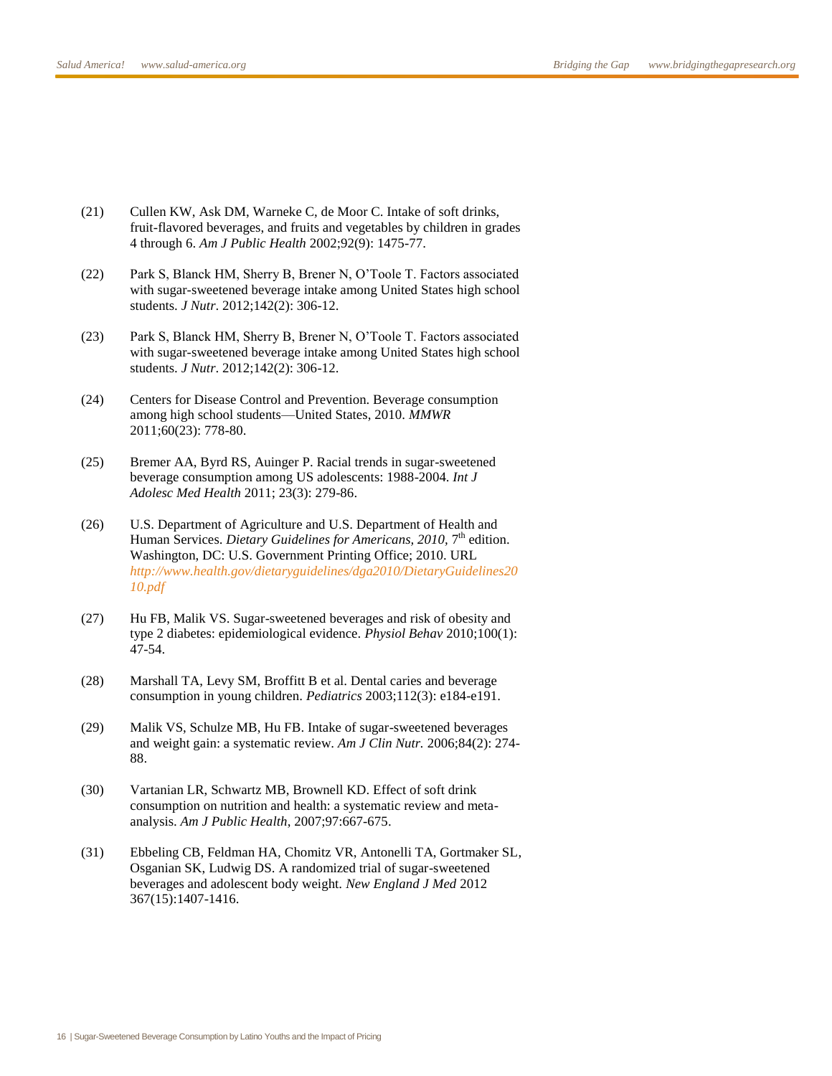- (21) Cullen KW, Ask DM, Warneke C, de Moor C. Intake of soft drinks, fruit-flavored beverages, and fruits and vegetables by children in grades 4 through 6. *Am J Public Health* 2002;92(9): 1475-77.
- (22) Park S, Blanck HM, Sherry B, Brener N, O'Toole T. Factors associated with sugar-sweetened beverage intake among United States high school students. *J Nutr*. 2012;142(2): 306-12.
- (23) Park S, Blanck HM, Sherry B, Brener N, O'Toole T. Factors associated with sugar-sweetened beverage intake among United States high school students. *J Nutr*. 2012;142(2): 306-12.
- (24) Centers for Disease Control and Prevention. Beverage consumption among high school students—United States, 2010. *MMWR*  2011;60(23): 778-80.
- (25) Bremer AA, Byrd RS, Auinger P. Racial trends in sugar-sweetened beverage consumption among US adolescents: 1988-2004. *Int J Adolesc Med Health* 2011; 23(3): 279-86.
- (26) U.S. Department of Agriculture and U.S. Department of Health and Human Services. *Dietary Guidelines for Americans, 2010, 7*<sup>th</sup> edition. Washington, DC: U.S. Government Printing Office; 2010. URL *[http://www.health.gov/dietaryguidelines/dga2010/DietaryGuidelines20](http://www.health.gov/dietaryguidelines/dga2010/DietaryGuidelines2010.pdf) [10.pdf](http://www.health.gov/dietaryguidelines/dga2010/DietaryGuidelines2010.pdf)*
- (27) Hu FB, Malik VS. Sugar-sweetened beverages and risk of obesity and type 2 diabetes: epidemiological evidence. *Physiol Behav* 2010;100(1): 47-54.
- (28) Marshall TA, Levy SM, Broffitt B et al. Dental caries and beverage consumption in young children. *Pediatrics* 2003;112(3): e184-e191.
- (29) Malik VS, Schulze MB, Hu FB. Intake of sugar-sweetened beverages and weight gain: a systematic review. *Am J Clin Nutr.* 2006;84(2): 274- 88.
- (30) Vartanian LR, Schwartz MB, Brownell KD. Effect of soft drink consumption on nutrition and health: a systematic review and metaanalysis. *Am J Public Health*, 2007;97:667-675.
- (31) Ebbeling CB, Feldman HA, Chomitz VR, Antonelli TA, Gortmaker SL, Osganian SK, Ludwig DS. A randomized trial of sugar-sweetened beverages and adolescent body weight. *New England J Med* 2012 367(15):1407-1416.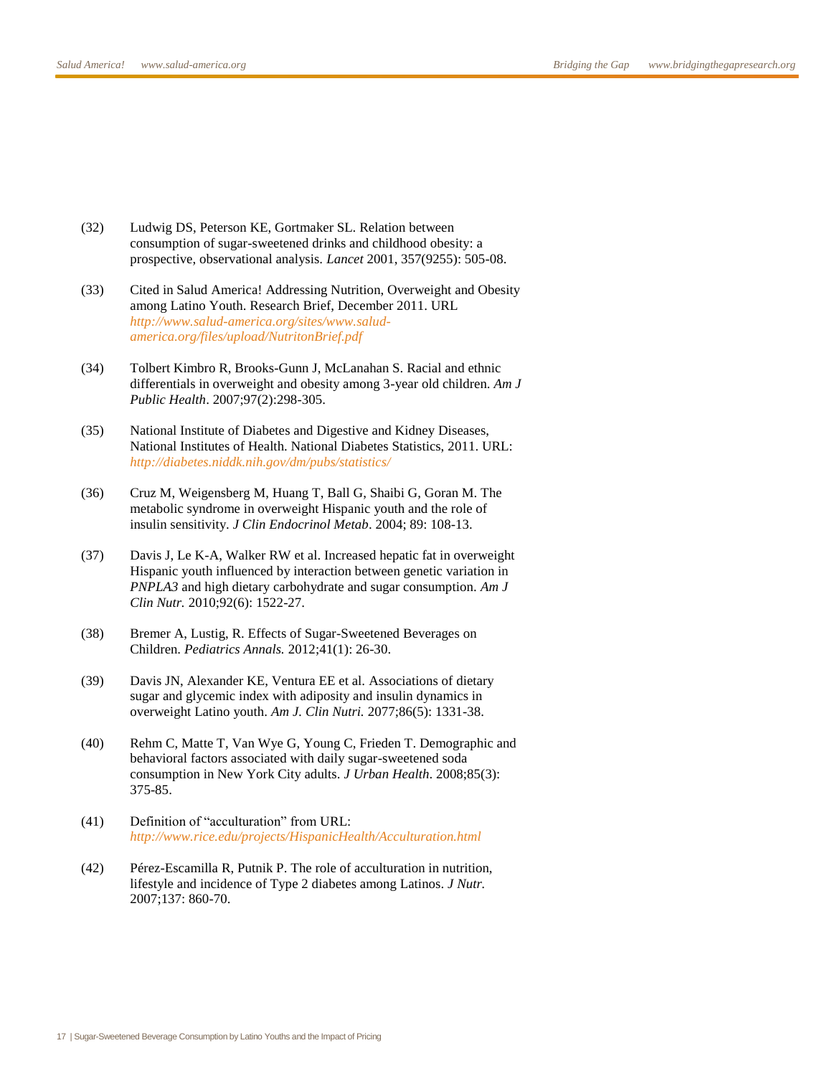- (32) Ludwig DS, Peterson KE, Gortmaker SL. Relation between consumption of sugar-sweetened drinks and childhood obesity: a prospective, observational analysis. *Lancet* 2001, 357(9255): 505-08.
- (33) Cited in Salud America! Addressing Nutrition, Overweight and Obesity among Latino Youth. Research Brief, December 2011. URL *[http://www.salud-america.org/sites/www.salud](http://www.salud-america.org/sites/www.salud-america.org/files/upload/NutritonBrief.pdf)[america.org/files/upload/NutritonBrief.pdf](http://www.salud-america.org/sites/www.salud-america.org/files/upload/NutritonBrief.pdf)*
- (34) Tolbert Kimbro R, Brooks-Gunn J, McLanahan S. Racial and ethnic differentials in overweight and obesity among 3-year old children. *Am J Public Health*. 2007;97(2):298-305.
- (35) National Institute of Diabetes and Digestive and Kidney Diseases, National Institutes of Health. National Diabetes Statistics, 2011. URL: *<http://diabetes.niddk.nih.gov/dm/pubs/statistics/>*
- (36) Cruz M, Weigensberg M, Huang T, Ball G, Shaibi G, Goran M. The metabolic syndrome in overweight Hispanic youth and the role of insulin sensitivity. *J Clin Endocrinol Metab*. 2004; 89: 108-13.
- (37) Davis J, Le K-A, Walker RW et al. Increased hepatic fat in overweight Hispanic youth influenced by interaction between genetic variation in *PNPLA3* and high dietary carbohydrate and sugar consumption. *Am J Clin Nutr.* 2010;92(6): 1522-27.
- (38) Bremer A, Lustig, R. Effects of Sugar-Sweetened Beverages on Children. *Pediatrics Annals.* 2012;41(1): 26-30.
- (39) Davis JN, Alexander KE, Ventura EE et al. Associations of dietary sugar and glycemic index with adiposity and insulin dynamics in overweight Latino youth. *Am J. Clin Nutri.* 2077;86(5): 1331-38.
- (40) Rehm C, Matte T, Van Wye G, Young C, Frieden T. Demographic and behavioral factors associated with daily sugar-sweetened soda consumption in New York City adults. *J Urban Health*. 2008;85(3): 375-85.
- (41) Definition of "acculturation" from URL: *<http://www.rice.edu/projects/HispanicHealth/Acculturation.html>*
- (42) Pérez-Escamilla R, Putnik P. The role of acculturation in nutrition, lifestyle and incidence of Type 2 diabetes among Latinos. *J Nutr.*  2007;137: 860-70.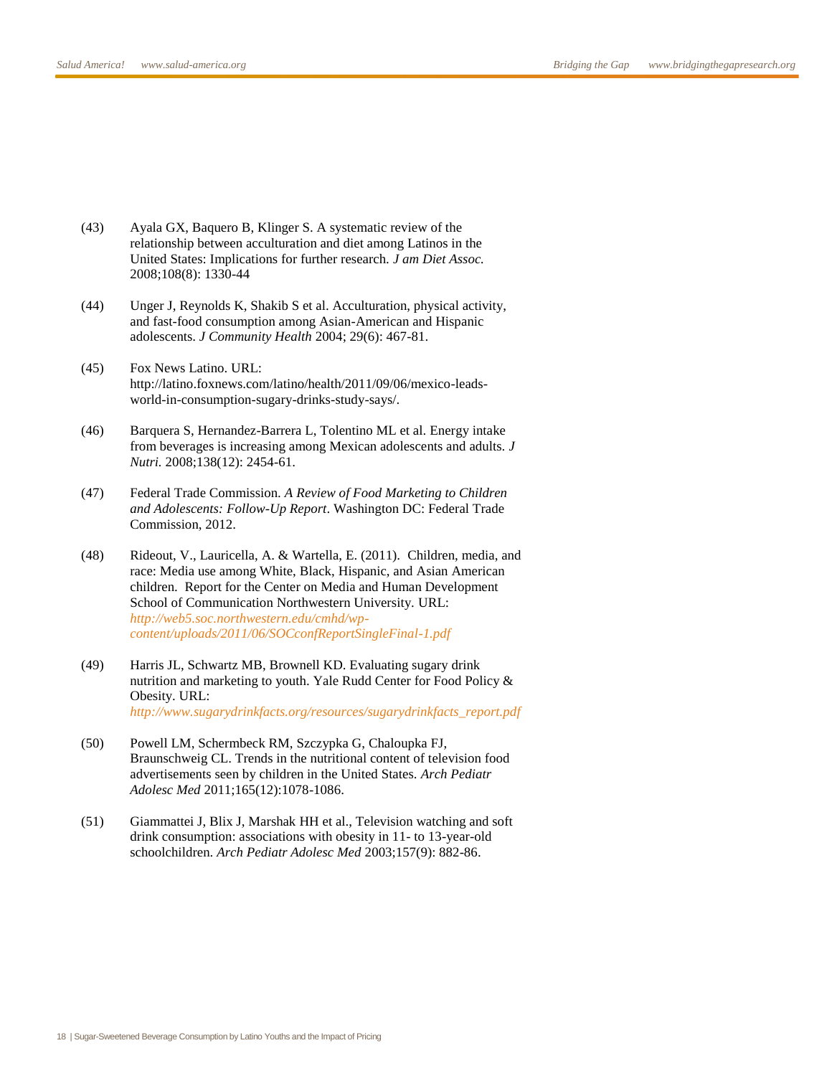- (43) Ayala GX, Baquero B, Klinger S. A systematic review of the relationship between acculturation and diet among Latinos in the United States: Implications for further research. *J am Diet Assoc.* 2008;108(8): 1330-44
- (44) Unger J, Reynolds K, Shakib S et al. Acculturation, physical activity, and fast-food consumption among Asian-American and Hispanic adolescents. *J Community Health* 2004; 29(6): 467-81.
- (45) Fox News Latino. URL: http://latino.foxnews.com/latino/health/2011/09/06/mexico-leadsworld-in-consumption-sugary-drinks-study-says/.
- (46) Barquera S, Hernandez-Barrera L, Tolentino ML et al. Energy intake from beverages is increasing among Mexican adolescents and adults. *J Nutri.* 2008;138(12): 2454-61.
- (47) Federal Trade Commission. *A Review of Food Marketing to Children and Adolescents: Follow-Up Report*. Washington DC: Federal Trade Commission, 2012.
- (48) Rideout, V., Lauricella, A. & Wartella, E. (2011). Children, media, and race: Media use among White, Black, Hispanic, and Asian American children. Report for the Center on Media and Human Development School of Communication Northwestern University. URL: *[http://web5.soc.northwestern.edu/cmhd/wp](http://web5.soc.northwestern.edu/cmhd/wp-content/uploads/2011/06/SOCconfReportSingleFinal-1.pdf)[content/uploads/2011/06/SOCconfReportSingleFinal-1.pdf](http://web5.soc.northwestern.edu/cmhd/wp-content/uploads/2011/06/SOCconfReportSingleFinal-1.pdf)*
- (49) Harris JL, Schwartz MB, Brownell KD. Evaluating sugary drink nutrition and marketing to youth. Yale Rudd Center for Food Policy & Obesity. URL: *[http://www.sugarydrinkfacts.org/resources/sugarydrinkfacts\\_report.pdf](http://www.sugarydrinkfacts.org/resources/sugarydrinkfacts_report.pdf)*
- (50) Powell LM, Schermbeck RM, Szczypka G, Chaloupka FJ, Braunschweig CL. Trends in the nutritional content of television food advertisements seen by children in the United States. *Arch Pediatr Adolesc Med* 2011;165(12):1078-1086.
- (51) Giammattei J, Blix J, Marshak HH et al., Television watching and soft drink consumption: associations with obesity in 11- to 13-year-old schoolchildren. *Arch Pediatr Adolesc Med* 2003;157(9): 882-86.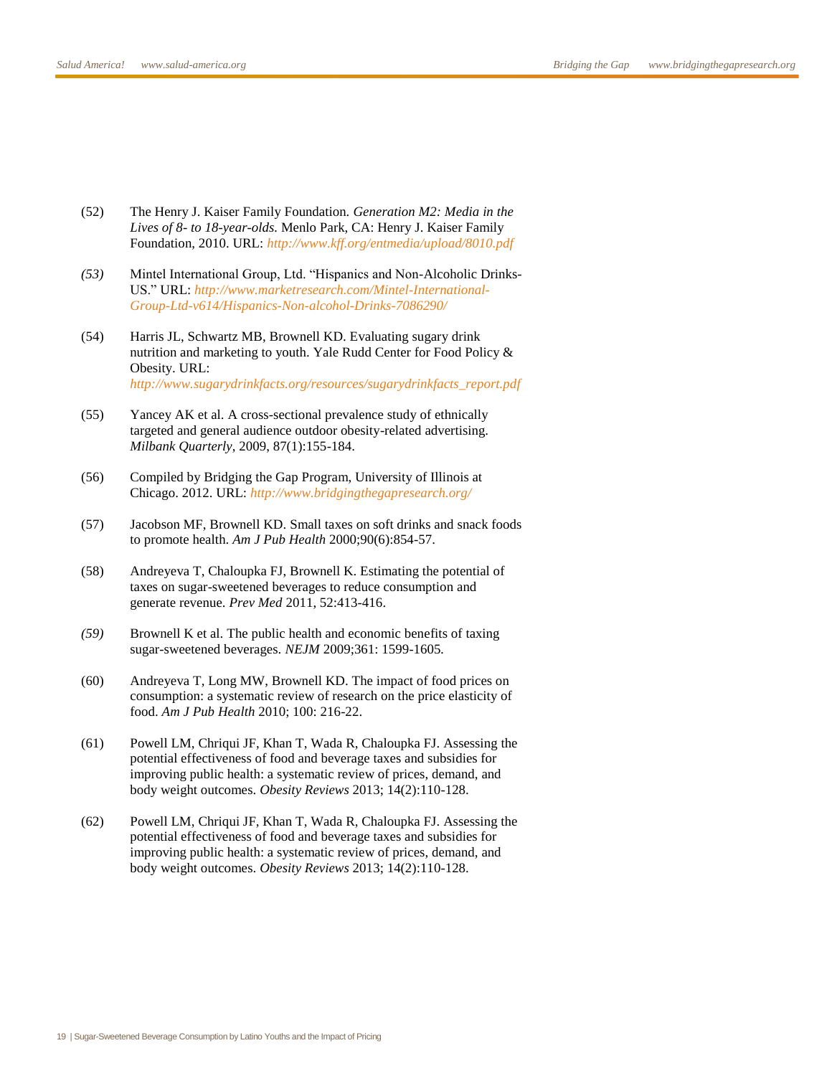- (52) The Henry J. Kaiser Family Foundation. *Generation M2: Media in the Lives of 8- to 18-year-olds.* Menlo Park, CA: Henry J. Kaiser Family Foundation, 2010. URL: *<http://www.kff.org/entmedia/upload/8010.pdf>*
- *(53)* Mintel International Group, Ltd. "Hispanics and Non-Alcoholic Drinks-US." URL: *[http://www.marketresearch.com/Mintel-International-](http://www.marketresearch.com/Mintel-International-Group-Ltd-v614/Hispanics-Non-alcohol-Drinks-7086290/)[Group-Ltd-v614/Hispanics-Non-alcohol-Drinks-7086290/](http://www.marketresearch.com/Mintel-International-Group-Ltd-v614/Hispanics-Non-alcohol-Drinks-7086290/)*
- (54) Harris JL, Schwartz MB, Brownell KD. Evaluating sugary drink nutrition and marketing to youth. Yale Rudd Center for Food Policy & Obesity. URL: *[http://www.sugarydrinkfacts.org/resources/sugarydrinkfacts\\_report.pdf](http://www.sugarydrinkfacts.org/resources/sugarydrinkfacts_report.pdf)*
- (55) Yancey AK et al. A cross-sectional prevalence study of ethnically targeted and general audience outdoor obesity-related advertising. *Milbank Quarterly*, 2009, 87(1):155-184.
- (56) Compiled by Bridging the Gap Program, University of Illinois at Chicago. 2012. URL: *[http://www.bridgingthegapresearch.org/](http://www.bridgingthegap.org/)*
- (57) Jacobson MF, Brownell KD. Small taxes on soft drinks and snack foods to promote health. *Am J Pub Health* 2000;90(6):854-57.
- (58) Andreyeva T, Chaloupka FJ, Brownell K. Estimating the potential of taxes on sugar-sweetened beverages to reduce consumption and generate revenue. *Prev Med* 2011, 52:413-416.
- *(59)* Brownell K et al. The public health and economic benefits of taxing sugar-sweetened beverages. *NEJM* 2009;361: 1599-1605*.*
- (60) Andreyeva T, Long MW, Brownell KD. The impact of food prices on consumption: a systematic review of research on the price elasticity of food. *Am J Pub Health* 2010; 100: 216-22.
- (61) Powell LM, Chriqui JF, Khan T, Wada R, Chaloupka FJ. Assessing the potential effectiveness of food and beverage taxes and subsidies for improving public health: a systematic review of prices, demand, and body weight outcomes. *Obesity Reviews* 2013; 14(2):110-128.
- (62) Powell LM, Chriqui JF, Khan T, Wada R, Chaloupka FJ. Assessing the potential effectiveness of food and beverage taxes and subsidies for improving public health: a systematic review of prices, demand, and body weight outcomes. *Obesity Reviews* 2013; 14(2):110-128.